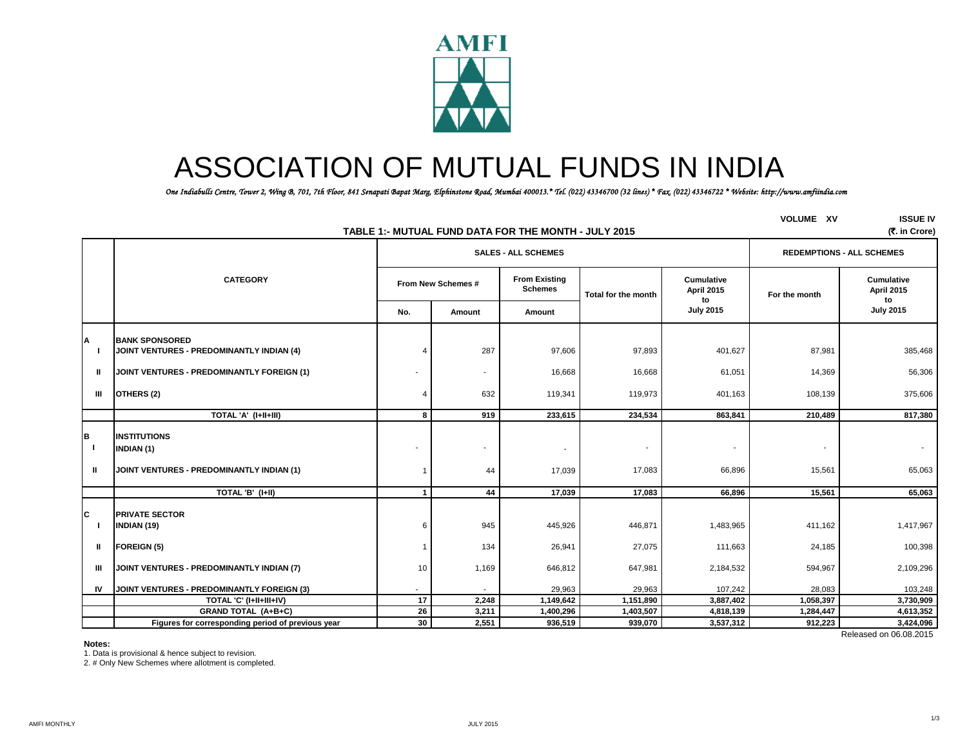

# ASSOCIATION OF MUTUAL FUNDS IN INDIA

 *One Indiabulls Centre, Tower 2, Wing B, 701, 7th Floor, 841 Senapati Bapat Marg, Elphinstone Road, Mumbai 400013.\* Tel. (022) 43346700 (32 lines) \* Fax. (022) 43346722 \* Website: http://www.amfiindia.com*

|                         |                                                                                |                         |                            | TABLE 1:- MUTUAL FUND DATA FOR THE MONTH - JULY 2015 |                     |                                       | <b>VOLUME XV</b> | <b>ISSUE IV</b><br>(7. in Crore)      |
|-------------------------|--------------------------------------------------------------------------------|-------------------------|----------------------------|------------------------------------------------------|---------------------|---------------------------------------|------------------|---------------------------------------|
|                         |                                                                                |                         | <b>SALES - ALL SCHEMES</b> | <b>REDEMPTIONS - ALL SCHEMES</b>                     |                     |                                       |                  |                                       |
|                         | <b>CATEGORY</b>                                                                |                         | From New Schemes #         |                                                      | Total for the month | Cumulative<br><b>April 2015</b><br>to | For the month    | <b>Cumulative</b><br>April 2015<br>to |
|                         |                                                                                | No.                     | Amount                     | Amount                                               |                     | <b>July 2015</b>                      |                  | <b>July 2015</b>                      |
|                         | <b>BANK SPONSORED</b><br>JOINT VENTURES - PREDOMINANTLY INDIAN (4)             |                         | 287                        | 97,606                                               | 97,893              | 401,627                               | 87,981           | 385,468                               |
| Ш.                      | JOINT VENTURES - PREDOMINANTLY FOREIGN (1)                                     |                         | $\sim$                     | 16,668                                               | 16,668              | 61,051                                | 14,369           | 56,306                                |
| Ш                       | OTHERS (2)                                                                     |                         | 632                        | 119,341                                              | 119,973             | 401,163                               | 108,139          | 375,606                               |
|                         | TOTAL 'A' (I+II+III)                                                           | 8                       | 919                        | 233,615                                              | 234,534             | 863,841                               | 210,489          | 817,380                               |
| B<br>$\mathbf{I}$<br>Ш. | <b>INSTITUTIONS</b><br>INDIAN (1)<br>JOINT VENTURES - PREDOMINANTLY INDIAN (1) |                         | 44                         | $\overline{\phantom{a}}$<br>17,039                   | 17,083              | 66,896                                | 15,561           | 65,063                                |
|                         | TOTAL 'B' (I+II)                                                               | $\overline{\mathbf{1}}$ | 44                         | 17,039                                               | 17,083              | 66,896                                | 15,561           | 65,063                                |
| C                       | <b>PRIVATE SECTOR</b><br>INDIAN (19)                                           | 6                       | 945                        | 445,926                                              | 446,871             | 1,483,965                             | 411,162          | 1,417,967                             |
| $\mathbf{u}$            | <b>FOREIGN (5)</b>                                                             |                         | 134                        | 26,941                                               | 27,075              | 111,663                               | 24,185           | 100,398                               |
| Ш                       | JOINT VENTURES - PREDOMINANTLY INDIAN (7)                                      | 10                      | 1,169                      | 646,812                                              | 647,981             | 2,184,532                             | 594,967          | 2,109,296                             |
| IV                      | JOINT VENTURES - PREDOMINANTLY FOREIGN (3)                                     |                         |                            | 29,963                                               | 29,963              | 107,242                               | 28,083           | 103,248                               |
|                         | TOTAL 'C' (I+II+III+IV)                                                        | 17                      | 2,248                      | 1,149,642                                            | 1,151,890           | 3,887,402                             | 1,058,397        | 3,730,909                             |
|                         | <b>GRAND TOTAL (A+B+C)</b>                                                     | 26                      | 3,211                      | 1,400,296                                            | 1,403,507           | 4,818,139                             | 1,284,447        | 4,613,352                             |
|                         | Figures for corresponding period of previous year                              | 30                      | 2,551                      | 936,519                                              | 939,070             | 3,537,312                             | 912,223          | 3,424,096                             |
|                         |                                                                                |                         |                            |                                                      |                     |                                       |                  | Released on 06.08.2015                |

## **Notes:**

**B**

**C**

**A**

1. Data is provisional & hence subject to revision.

2. # Only New Schemes where allotment is completed.

1/3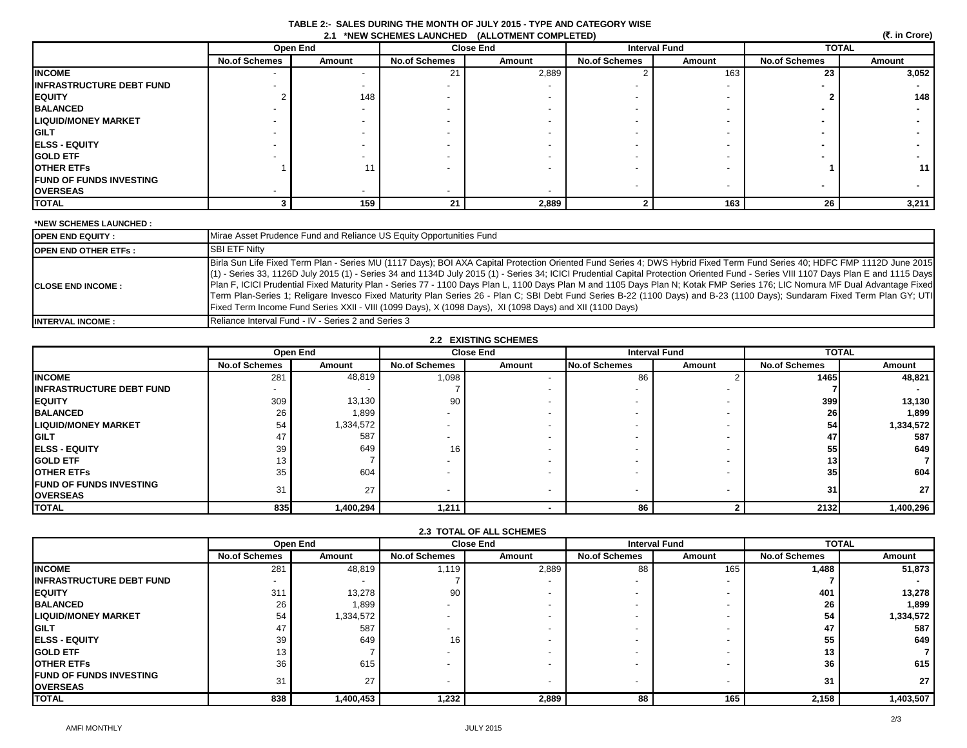|                                 |                      |          |                      | 2.1 *NEW SCHEMES LAUNCHED (ALLOTMENT COMPLETED) |                      |                      |                      | (そ. in Crore) |
|---------------------------------|----------------------|----------|----------------------|-------------------------------------------------|----------------------|----------------------|----------------------|---------------|
|                                 |                      | Open End |                      | <b>Close End</b>                                |                      | <b>Interval Fund</b> |                      | <b>TOTAL</b>  |
|                                 | <b>No.of Schemes</b> | Amount   | <b>No.of Schemes</b> | Amount                                          | <b>No.of Schemes</b> | Amount               | <b>No.of Schemes</b> | Amount        |
| <b>INCOME</b>                   |                      |          |                      | 2,889                                           |                      | 163                  | 23                   | 3,052         |
| <b>INFRASTRUCTURE DEBT FUND</b> |                      |          |                      |                                                 |                      |                      |                      |               |
| <b>EQUITY</b>                   |                      | 148      |                      |                                                 |                      |                      |                      | 148           |
| <b>BALANCED</b>                 |                      |          |                      |                                                 |                      |                      |                      |               |
| <b>LIQUID/MONEY MARKET</b>      |                      |          |                      |                                                 |                      |                      |                      |               |
| <b>GILT</b>                     |                      |          |                      |                                                 |                      |                      |                      |               |
| <b>ELSS - EQUITY</b>            |                      |          |                      |                                                 |                      |                      |                      |               |
| <b>GOLD ETF</b>                 |                      |          |                      |                                                 |                      |                      |                      |               |
| <b>OTHER ETFS</b>               |                      |          |                      |                                                 |                      |                      |                      | 11            |
| <b>FUND OF FUNDS INVESTING</b>  |                      |          |                      |                                                 |                      |                      |                      |               |
| <b>OVERSEAS</b>                 |                      |          |                      |                                                 |                      |                      |                      |               |
| <b>TOTAL</b>                    |                      | 159      | 21                   | 2,889                                           |                      | 163                  | 26                   | 3,211         |

 **TABLE 2:- SALES DURING THE MONTH OF JULY 2015 - TYPE AND CATEGORY WISE**

# **\*NEW SCHEMES LAUNCHED :**

| <b>IOPEN END EQUITY:</b>     | Mirae Asset Prudence Fund and Reliance US Equity Opportunities Fund                                                                                                                                                                                                                                                                                                                                                                                                                                                                                                                                                                                                                                                                                                                                                                        |
|------------------------------|--------------------------------------------------------------------------------------------------------------------------------------------------------------------------------------------------------------------------------------------------------------------------------------------------------------------------------------------------------------------------------------------------------------------------------------------------------------------------------------------------------------------------------------------------------------------------------------------------------------------------------------------------------------------------------------------------------------------------------------------------------------------------------------------------------------------------------------------|
| <b>IOPEN END OTHER ETFS:</b> | <b>SBI ETF Nifty</b>                                                                                                                                                                                                                                                                                                                                                                                                                                                                                                                                                                                                                                                                                                                                                                                                                       |
| <b>ICLOSE END INCOME:</b>    | Birla Sun Life Fixed Term Plan - Series MU (1117 Days); BOI AXA Capital Protection Oriented Fund Series 4; DWS Hybrid Fixed Term Fund Series 40; HDFC FMP 1112D June 2015<br>(1) - Series 33, 1126D July 2015 (1) - Series 34 and 1134D July 2015 (1) - Series 34; ICICI Prudential Capital Protection Oriented Fund - Series VIII 1107 Days Plan E and 1115 Days<br>Plan F, ICICI Prudential Fixed Maturity Plan - Series 77 - 1100 Days Plan L, 1100 Days Plan M and 1105 Days Plan N; Kotak FMP Series 176; LIC Nomura MF Dual Advantage Fixed<br>Term Plan-Series 1; Religare Invesco Fixed Maturity Plan Series 26 - Plan C; SBI Debt Fund Series B-22 (1100 Days) and B-23 (1100 Days); Sundaram Fixed Term Plan GY; UTI<br>Fixed Term Income Fund Series XXII - VIII (1099 Days), X (1098 Days), XI (1098 Days) and XII (1100 Days) |
| <b>INTERVAL INCOME:</b>      | Reliance Interval Fund - IV - Series 2 and Series 3                                                                                                                                                                                                                                                                                                                                                                                                                                                                                                                                                                                                                                                                                                                                                                                        |

| <b>2.2 EXISTING SCHEMES</b>                         |                          |                 |                          |        |                          |        |                      |              |  |
|-----------------------------------------------------|--------------------------|-----------------|--------------------------|--------|--------------------------|--------|----------------------|--------------|--|
|                                                     |                          | <b>Open End</b> | <b>Close End</b>         |        | <b>Interval Fund</b>     |        |                      | <b>TOTAL</b> |  |
|                                                     | <b>No.of Schemes</b>     | Amount          | <b>No.of Schemes</b>     | Amount | No.of Schemes            | Amount | <b>No.of Schemes</b> | Amount       |  |
| <b>INCOME</b>                                       | 281                      | 48,819          | 1,098                    |        | 86                       |        | 1465                 | 48,821       |  |
| <b>IINFRASTRUCTURE DEBT FUND</b>                    | $\overline{\phantom{0}}$ |                 |                          |        |                          |        |                      |              |  |
| <b>IEQUITY</b>                                      | 309                      | 13,130          | 90                       |        |                          |        | 399                  | 13,130       |  |
| <b>BALANCED</b>                                     | 26                       | 1,899           | $\overline{\phantom{a}}$ |        |                          |        | 26                   | 1,899        |  |
| <b>LIQUID/MONEY MARKET</b>                          | 54                       | 1,334,572       | $\overline{\phantom{a}}$ |        |                          |        | 54                   | 1,334,572    |  |
| <b>IGILT</b>                                        | 47                       | 587             |                          |        |                          |        | 47                   | 587          |  |
| <b>IELSS - EQUITY</b>                               | 39                       | 649             | 16 <sub>1</sub>          |        |                          |        | 55                   | 649          |  |
| <b>IGOLD ETF</b>                                    | 13                       |                 |                          |        |                          |        | 13                   |              |  |
| <b>IOTHER ETFS</b>                                  | 35                       | 604             |                          |        |                          |        | 35 <sub>1</sub>      | 604          |  |
| <b>IFUND OF FUNDS INVESTING</b><br><b>IOVERSEAS</b> | 31                       | 27              | $\overline{\phantom{a}}$ |        | $\overline{\phantom{0}}$ | ۰.     | 31                   | 27           |  |
| <b>TOTAL</b>                                        | 835                      | 1,400,294       | 1,211                    |        | 86                       |        | 2132                 | 1,400,296    |  |

| 2.3 TOTAL OF ALL SCHEMES                          |                      |           |                          |        |                          |        |                      |           |
|---------------------------------------------------|----------------------|-----------|--------------------------|--------|--------------------------|--------|----------------------|-----------|
|                                                   |                      | Open End  | <b>Close End</b>         |        | <b>Interval Fund</b>     |        | <b>TOTAL</b>         |           |
|                                                   | <b>No.of Schemes</b> | Amount    | <b>No.of Schemes</b>     | Amount | <b>No.of Schemes</b>     | Amount | <b>No.of Schemes</b> | Amount    |
| <b>INCOME</b>                                     | 281                  | 48,819    | 1,119                    | 2,889  | 88                       | 165    | 1,488                | 51,873    |
| <b>IINFRASTRUCTURE DEBT FUND</b>                  |                      |           |                          |        | -                        |        |                      |           |
| <b>IEQUITY</b>                                    | 311                  | 13,278    | 90                       |        |                          |        | 401                  | 13,278    |
| <b>BALANCED</b>                                   | 26                   | 1,899     | $\overline{\phantom{a}}$ |        | $\overline{\phantom{0}}$ | - -    | 26                   | 1,899     |
| <b>LIQUID/MONEY MARKET</b>                        | 54                   | 1,334,572 |                          |        |                          |        | 54                   | 1,334,572 |
| <b>GILT</b>                                       | 47                   | 587       |                          |        |                          |        | 47                   | 587       |
| <b>ELSS - EQUITY</b>                              | 39                   | 649       | 16                       |        |                          |        | 55                   | 649       |
| <b>GOLD ETF</b>                                   | 13                   |           |                          |        | $\overline{\phantom{0}}$ |        | 13                   |           |
| <b>OTHER ETFS</b>                                 | 36                   | 615       |                          |        |                          |        | 36                   | 615       |
| <b>FUND OF FUNDS INVESTING</b><br><b>OVERSEAS</b> | 31                   | 27        | $\overline{\phantom{a}}$ |        | $\overline{\phantom{a}}$ | ۰.     | 31                   | 27        |
| <b>TOTAL</b>                                      | 838                  | 1,400,453 | 1,232                    | 2,889  | 88                       | 165    | 2,158                | 1,403,507 |

 **(**`**. in Crore)**